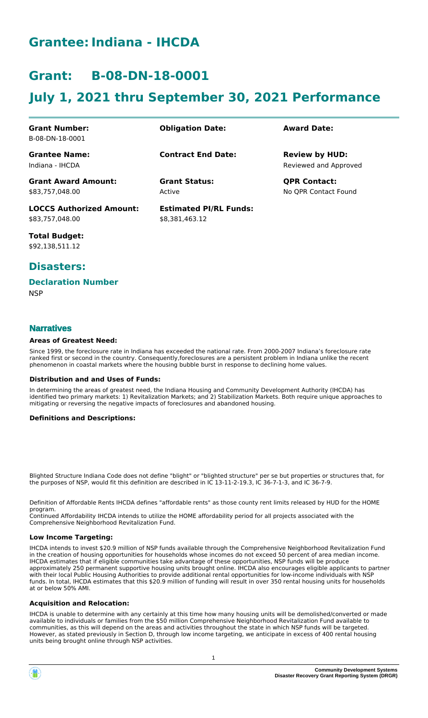# **Grantee:Indiana - IHCDA**

# **Grant: B-08-DN-18-0001**

# **July 1, 2021 thru September 30, 2021 Performance**

| <b>Grant Number:</b>            | <b>Obligation Date:</b>       | <b>Award Date:</b>    |
|---------------------------------|-------------------------------|-----------------------|
| B-08-DN-18-0001                 |                               |                       |
| <b>Grantee Name:</b>            | <b>Contract End Date:</b>     | <b>Review by HUD:</b> |
| Indiana - IHCDA                 |                               | Reviewed and Approved |
| <b>Grant Award Amount:</b>      | <b>Grant Status:</b>          | <b>QPR Contact:</b>   |
| \$83.757.048.00                 | Active                        | No OPR Contact Found  |
| <b>LOCCS Authorized Amount:</b> | <b>Estimated PI/RL Funds:</b> |                       |
| \$83,757,048.00                 | \$8.381.463.12                |                       |

**Total Budget:** \$92,138,511.12

## **Disasters:**

### **Declaration Number**

**NSP** 

### **Narratives**

#### **Areas of Greatest Need:**

Since 1999, the foreclosure rate in Indiana has exceeded the national rate. From 2000-2007 Indiana's foreclosure rate ranked first or second in the country. Consequently,foreclosures are a persistent problem in Indiana unlike the recent phenomenon in coastal markets where the housing bubble burst in response to declining home values.

#### **Distribution and and Uses of Funds:**

In determining the areas of greatest need, the Indiana Housing and Community Development Authority (IHCDA) has identified two primary markets: 1) Revitalization Markets; and 2) Stabilization Markets. Both require unique approaches to mitigating or reversing the negative impacts of foreclosures and abandoned housing.

#### **Definitions and Descriptions:**

Blighted Structure Indiana Code does not define "blight" or "blighted structure" per se but properties or structures that, for the purposes of NSP, would fit this definition are described in IC 13-11-2-19.3, IC 36-7-1-3, and IC 36-7-9.

Definition of Affordable Rents IHCDA defines "affordable rents" as those county rent limits released by HUD for the HOME program.

Continued Affordability IHCDA intends to utilize the HOME affordability period for all projects associated with the Comprehensive Neighborhood Revitalization Fund.

#### **Low Income Targeting:**

IHCDA intends to invest \$20.9 million of NSP funds available through the Comprehensive Neighborhood Revitalization Fund in the creation of housing opportunities for households whose incomes do not exceed 50 percent of area median income. IHCDA estimates that if eligible communities take advantage of these opportunities, NSP funds will be produce approximately 250 permanent supportive housing units brought online. IHCDA also encourages eligible applicants to partner with their local Public Housing Authorities to provide additional rental opportunities for low-income individuals with NSP funds. In total, IHCDA estimates that this \$20.9 million of funding will result in over 350 rental housing units for households at or below 50% AMI.

#### **Acquisition and Relocation:**

IHCDA is unable to determine with any certainly at this time how many housing units will be demolished/converted or made available to individuals or families from the \$50 million Comprehensive Neighborhood Revitalization Fund available to communities, as this will depend on the areas and activities throughout the state in which NSP funds will be targeted. However, as stated previously in Section D, through low income targeting, we anticipate in excess of 400 rental housing units being brought online through NSP activities.

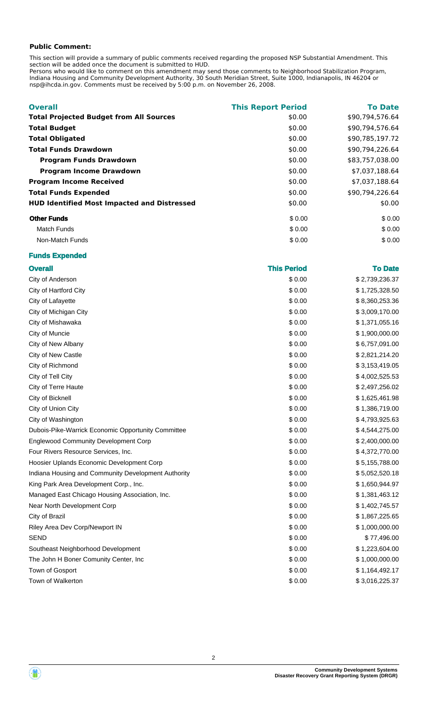### **Public Comment:**

This section will provide a summary of public comments received regarding the proposed NSP Substantial Amendment. This section will be added once the document is submitted to HUD.

Persons who would like to comment on this amendment may send those comments to Neighborhood Stabilization Program, Indiana Housing and Community Development Authority, 30 South Meridian Street, Suite 1000, Indianapolis, IN 46204 or nsp@ihcda.in.gov. Comments must be received by 5:00 p.m. on November 26, 2008.

| <b>Overall</b>                                     | <b>This Report Period</b> | <b>To Date</b>  |
|----------------------------------------------------|---------------------------|-----------------|
| <b>Total Projected Budget from All Sources</b>     | \$0.00                    | \$90,794,576.64 |
| <b>Total Budget</b>                                | \$0.00                    | \$90,794,576.64 |
| <b>Total Obligated</b>                             | \$0.00                    | \$90,785,197.72 |
| <b>Total Funds Drawdown</b>                        | \$0.00                    | \$90.794.226.64 |
| <b>Program Funds Drawdown</b>                      | \$0.00                    | \$83,757,038.00 |
| <b>Program Income Drawdown</b>                     | \$0.00                    | \$7,037,188.64  |
| <b>Program Income Received</b>                     | \$0.00                    | \$7,037,188.64  |
| <b>Total Funds Expended</b>                        | \$0.00                    | \$90.794.226.64 |
| <b>HUD Identified Most Impacted and Distressed</b> | \$0.00                    | \$0.00          |
| <b>Other Funds</b>                                 | \$0.00                    | \$0.00          |
| Match Funds                                        | \$0.00                    | \$0.00          |
| Non-Match Funds                                    | \$0.00                    | \$0.00          |

### **Funds Expended**

| <b>Overall</b>                                      | <b>This Period</b> | <b>To Date</b> |
|-----------------------------------------------------|--------------------|----------------|
| City of Anderson                                    | \$0.00             | \$2,739,236.37 |
| City of Hartford City                               | \$0.00             | \$1,725,328.50 |
| City of Lafayette                                   | \$0.00             | \$8,360,253.36 |
| City of Michigan City                               | \$0.00             | \$3,009,170.00 |
| City of Mishawaka                                   | \$0.00             | \$1,371,055.16 |
| City of Muncie                                      | \$0.00             | \$1,900,000.00 |
| City of New Albany                                  | \$0.00             | \$6,757,091.00 |
| City of New Castle                                  | \$0.00             | \$2,821,214.20 |
| City of Richmond                                    | \$0.00             | \$3,153,419.05 |
| City of Tell City                                   | \$0.00             | \$4,002,525.53 |
| City of Terre Haute                                 | \$0.00             | \$2,497,256.02 |
| City of Bicknell                                    | \$0.00             | \$1,625,461.98 |
| City of Union City                                  | \$0.00             | \$1,386,719.00 |
| City of Washington                                  | \$0.00             | \$4,793,925.63 |
| Dubois-Pike-Warrick Economic Opportunity Committee  | \$0.00             | \$4,544,275.00 |
| <b>Englewood Community Development Corp</b>         | \$0.00             | \$2,400,000.00 |
| Four Rivers Resource Services, Inc.                 | \$0.00             | \$4,372,770.00 |
| Hoosier Uplands Economic Development Corp           | \$0.00             | \$5,155,788.00 |
| Indiana Housing and Community Development Authority | \$0.00             | \$5,052,520.18 |
| King Park Area Development Corp., Inc.              | \$0.00             | \$1,650,944.97 |
| Managed East Chicago Housing Association, Inc.      | \$0.00             | \$1,381,463.12 |
| Near North Development Corp                         | \$0.00             | \$1,402,745.57 |
| City of Brazil                                      | \$0.00             | \$1,867,225.65 |
| Riley Area Dev Corp/Newport IN                      | \$0.00             | \$1,000,000.00 |
| <b>SEND</b>                                         | \$0.00             | \$77,496.00    |
| Southeast Neighborhood Development                  | \$0.00             | \$1,223,604.00 |
| The John H Boner Comunity Center, Inc               | \$0.00             | \$1,000,000.00 |
| Town of Gosport                                     | \$0.00             | \$1,164,492.17 |
| Town of Walkerton                                   | \$0.00             | \$3,016,225.37 |